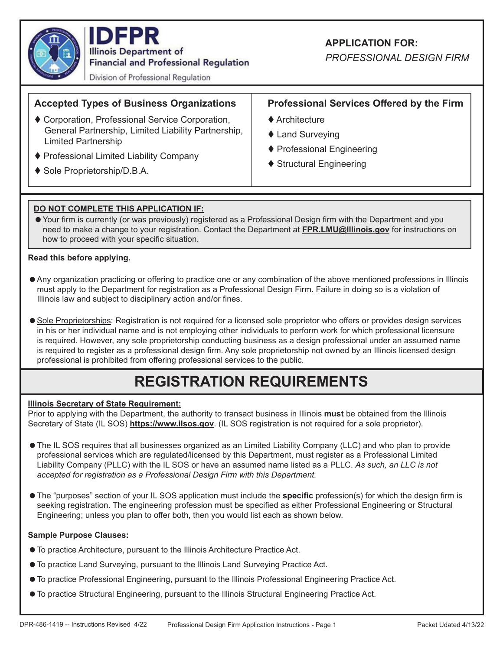

**IDFPR Illinois Department of Financial and Professional Regulation** 

Division of Professional Regulation

# **Accepted Types of Business Organizations**

- Corporation, Professional Service Corporation, General Partnership, Limited Liability Partnership, Limited Partnership
- ♦ Professional Limited Liability Company
- ◆ Sole Proprietorship/D.B.A.

## **APPLICATION FOR:**

*PROFESSIONAL DESIGN FIRM*

## **Professional Services Offered by the Firm**

- ◆ Architecture
- ◆ Land Surveving
- ◆ Professional Engineering
- ◆ Structural Engineering

### **DO NOT COMPLETE THIS APPLICATION IF:**

• Your firm is currently (or was previously) registered as a Professional Design firm with the Department and you need to make a change to your registration. Contact the Department at **FPR.LMU@Illinois.gov** for instructions on how to proceed with your specific situation.

#### **Read this before applying.**

- Any organization practicing or offering to practice one or any combination of the above mentioned professions in Illinois must apply to the Department for registration as a Professional Design Firm. Failure in doing so is a violation of Illinois law and subject to disciplinary action and/or fines.
- Sole Proprietorships: Registration is not required for a licensed sole proprietor who offers or provides design services in his or her individual name and is not employing other individuals to perform work for which professional licensure is required. However, any sole proprietorship conducting business as a design professional under an assumed name is required to register as a professional design firm. Any sole proprietorship not owned by an Illinois licensed design professional is prohibited from offering professional services to the public.

# **REGISTRATION REQUIREMENTS**

#### **Illinois Secretary of State Requirement:**

Prior to applying with the Department, the authority to transact business in Illinois **must** be obtained from the Illinois Secretary of State (IL SOS) **https://www.ilsos.gov**. (IL SOS registration is not required for a sole proprietor).

- The IL SOS requires that all businesses organized as an Limited Liability Company (LLC) and who plan to provide professional services which are regulated/licensed by this Department, must register as a Professional Limited Liability Company (PLLC) with the IL SOS or have an assumed name listed as a PLLC. *As such, an LLC is not accepted for registration as a Professional Design Firm with this Department.*
- The "purposes" section of your IL SOS application must include the **specific** profession(s) for which the design firm is seeking registration. The engineering profession must be specified as either Professional Engineering or Structural Engineering; unless you plan to offer both, then you would list each as shown below.

#### **Sample Purpose Clauses:**

- To practice Architecture, pursuant to the Illinois Architecture Practice Act.
- To practice Land Surveying, pursuant to the Illinois Land Surveying Practice Act.
- To practice Professional Engineering, pursuant to the Illinois Professional Engineering Practice Act.
- To practice Structural Engineering, pursuant to the Illinois Structural Engineering Practice Act.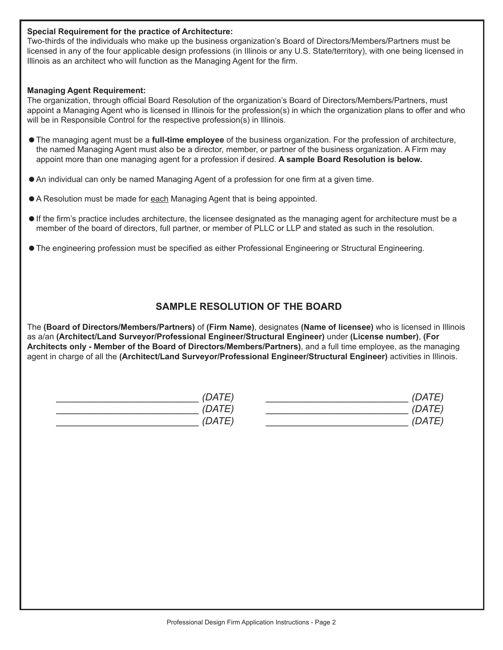#### **Special Requirement for the practice of Architecture:**

Two-thirds of the individuals who make up the business organization's Board of Directors/Members/Partners must be licensed in any of the four applicable design professions (in Illinois or any U.S. State/territory), with one being licensed in Illinois as an architect who will function as the Managing Agent for the firm.

#### **Managing Agent Requirement:**

The organization, through official Board Resolution of the organization's Board of Directors/Members/Partners, must appoint a Managing Agent who is licensed in Illinois for the profession(s) in which the organization plans to offer and who will be in Responsible Control for the respective profession(s) in Illinois.

- The managing agent must be a **full-time employee** of the business organization. For the profession of architecture, the named Managing Agent must also be a director, member, or partner of the business organization. A Firm may appoint more than one managing agent for a profession if desired. **A sample Board Resolution is below.**
- $\bullet$  An individual can only be named Managing Agent of a profession for one firm at a given time.
- A Resolution must be made for each Managing Agent that is being appointed.
- $\bullet$  If the firm's practice includes architecture, the licensee designated as the managing agent for architecture must be a member of the board of directors, full partner, or member of PLLC or LLP and stated as such in the resolution.
- $\bullet$  The engineering profession must be specified as either Professional Engineering or Structural Engineering.

### **SAMPLE RESOLUTION OF THE BOARD**

The **(Board of Directors/Members/Partners)** of **(Firm Name)**, designates **(Name of licensee)** who is licensed in Illinois as a/an **(Architect/Land Surveyor/Professional Engineer/Structural Engineer)** under **(License number)**, **(For Architects only - Member of the Board of Directors/Members/Partners)**, and a full time employee, as the managing agent in charge of all the **(Architect/Land Surveyor/Professional Engineer/Structural Engineer)** activities in Illinois.

| 'DATE       | 27 T L L |
|-------------|----------|
| 'DATE       |          |
| <b>DATE</b> | — — —    |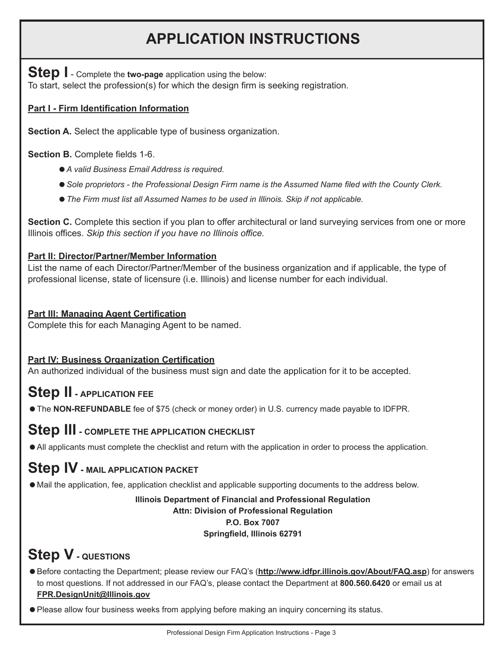# **APPLICATION INSTRUCTIONS**

**Step I** - Complete the **two-page** application using the below: To start, select the profession(s) for which the design firm is seeking registration.

## **Part I - Firm Identification Information**

**Section A.** Select the applicable type of business organization.

**Section B.** Complete fields 1-6.

- *A valid Business Email Address is required.*
- Sole proprietors the Professional Design Firm name is the Assumed Name filed with the County Clerk.
- *The Firm must list all Assumed Names to be used in Illinois. Skip if not applicable.*

**Section C.** Complete this section if you plan to offer architectural or land surveying services from one or more Illinois offices. *Skip this section if you have no Illinois office.* 

### **Part II: Director/Partner/Member Information**

List the name of each Director/Partner/Member of the business organization and if applicable, the type of professional license, state of licensure (i.e. Illinois) and license number for each individual.

### **Part III: Managing Agent Certification**

Complete this for each Managing Agent to be named.

### **Part IV: Business Organization Certification**

An authorized individual of the business must sign and date the application for it to be accepted.

# **Step II - APPLICATION FEE**

The **NON-REFUNDABLE** fee of \$75 (check or money order) in U.S. currency made payable to IDFPR.

# **Step III - COMPLETE THE APPLICATION CHECKLIST**

All applicants must complete the checklist and return with the application in order to process the application.

# **Step IV - MAIL APPLICATION PACKET**

Mail the application, fee, application checklist and applicable supporting documents to the address below.

#### **Illinois Department of Financial and Professional Regulation Attn: Division of Professional Regulation P.O. Box 7007 Springfield, Illinois 62791**

# **Step V - QUESTIONS**

- Before contacting the Department; please review our FAQ's (**http://www.idfpr.illinois.gov/About/FAQ.asp**) for answers to most questions. If not addressed in our FAQ's, please contact the Department at **800.560.6420** or email us at  **FPR.DesignUnit@Illinois.gov**
- Please allow four business weeks from applying before making an inquiry concerning its status.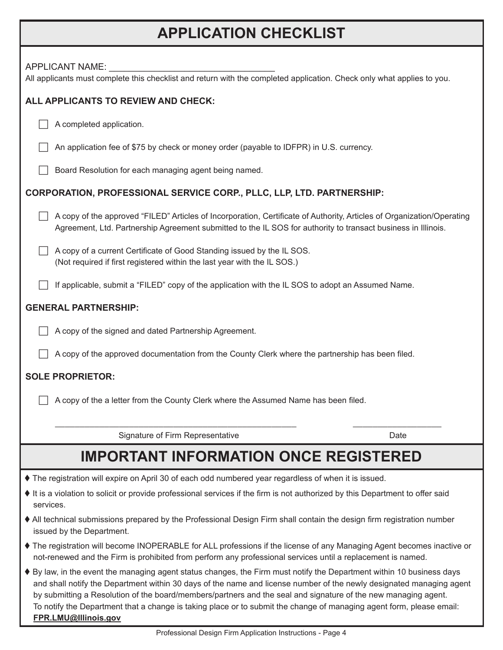# **APPLICATION CHECKLIST**

| <b>APPLICANT NAME:</b><br>All applicants must complete this checklist and return with the completed application. Check only what applies to you.                                                                                                                                                                                                                                                                                                                                                                |
|-----------------------------------------------------------------------------------------------------------------------------------------------------------------------------------------------------------------------------------------------------------------------------------------------------------------------------------------------------------------------------------------------------------------------------------------------------------------------------------------------------------------|
| ALL APPLICANTS TO REVIEW AND CHECK:                                                                                                                                                                                                                                                                                                                                                                                                                                                                             |
| A completed application.                                                                                                                                                                                                                                                                                                                                                                                                                                                                                        |
| An application fee of \$75 by check or money order (payable to IDFPR) in U.S. currency.                                                                                                                                                                                                                                                                                                                                                                                                                         |
| Board Resolution for each managing agent being named.                                                                                                                                                                                                                                                                                                                                                                                                                                                           |
| CORPORATION, PROFESSIONAL SERVICE CORP., PLLC, LLP, LTD. PARTNERSHIP:                                                                                                                                                                                                                                                                                                                                                                                                                                           |
| A copy of the approved "FILED" Articles of Incorporation, Certificate of Authority, Articles of Organization/Operating<br>Agreement, Ltd. Partnership Agreement submitted to the IL SOS for authority to transact business in Illinois.                                                                                                                                                                                                                                                                         |
| A copy of a current Certificate of Good Standing issued by the IL SOS.<br>(Not required if first registered within the last year with the IL SOS.)                                                                                                                                                                                                                                                                                                                                                              |
| If applicable, submit a "FILED" copy of the application with the IL SOS to adopt an Assumed Name.                                                                                                                                                                                                                                                                                                                                                                                                               |
| <b>GENERAL PARTNERSHIP:</b>                                                                                                                                                                                                                                                                                                                                                                                                                                                                                     |
| A copy of the signed and dated Partnership Agreement.                                                                                                                                                                                                                                                                                                                                                                                                                                                           |
| A copy of the approved documentation from the County Clerk where the partnership has been filed.                                                                                                                                                                                                                                                                                                                                                                                                                |
| <b>SOLE PROPRIETOR:</b>                                                                                                                                                                                                                                                                                                                                                                                                                                                                                         |
| A copy of the a letter from the County Clerk where the Assumed Name has been filed.                                                                                                                                                                                                                                                                                                                                                                                                                             |
| Signature of Firm Representative<br>Date                                                                                                                                                                                                                                                                                                                                                                                                                                                                        |
| <b>IMPORTANT INFORMATION ONCE REGISTERED</b>                                                                                                                                                                                                                                                                                                                                                                                                                                                                    |
| ♦ The registration will expire on April 30 of each odd numbered year regardless of when it is issued.                                                                                                                                                                                                                                                                                                                                                                                                           |
| It is a violation to solicit or provide professional services if the firm is not authorized by this Department to offer said<br>services.                                                                                                                                                                                                                                                                                                                                                                       |
| • All technical submissions prepared by the Professional Design Firm shall contain the design firm registration number<br>issued by the Department.                                                                                                                                                                                                                                                                                                                                                             |
| ♦ The registration will become INOPERABLE for ALL professions if the license of any Managing Agent becomes inactive or<br>not-renewed and the Firm is prohibited from perform any professional services until a replacement is named.                                                                                                                                                                                                                                                                           |
| ♦ By law, in the event the managing agent status changes, the Firm must notify the Department within 10 business days<br>and shall notify the Department within 30 days of the name and license number of the newly designated managing agent<br>by submitting a Resolution of the board/members/partners and the seal and signature of the new managing agent.<br>To notify the Department that a change is taking place or to submit the change of managing agent form, please email:<br>FPR.LMU@Illinois.gov |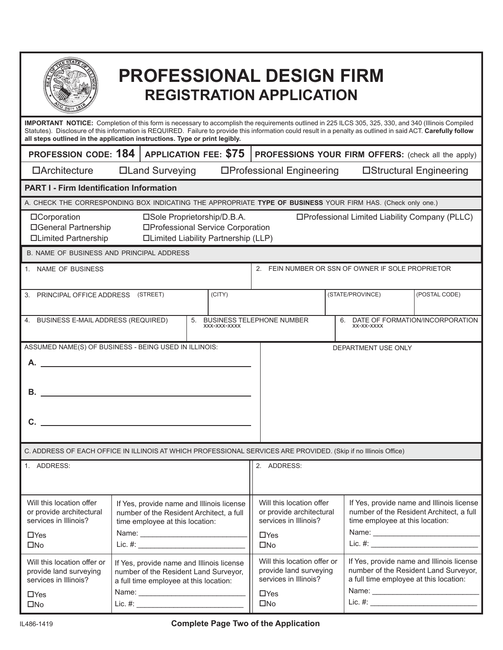|                                                                                                                                                                                                                                                                                                                                                                                                             |  |                                                                                                                              |  |        |  | <b>PROFESSIONAL DESIGN FIRM</b><br><b>REGISTRATION APPLICATION</b>                                           |                                                                                                                                        |                         |
|-------------------------------------------------------------------------------------------------------------------------------------------------------------------------------------------------------------------------------------------------------------------------------------------------------------------------------------------------------------------------------------------------------------|--|------------------------------------------------------------------------------------------------------------------------------|--|--------|--|--------------------------------------------------------------------------------------------------------------|----------------------------------------------------------------------------------------------------------------------------------------|-------------------------|
| <b>IMPORTANT NOTICE:</b> Completion of this form is necessary to accomplish the requirements outlined in 225 ILCS 305, 325, 330, and 340 (Illinois Compiled<br>Statutes). Disclosure of this information is REQUIRED. Failure to provide this information could result in a penalty as outlined in said ACT. Carefully follow<br>all steps outlined in the application instructions. Type or print legibly. |  |                                                                                                                              |  |        |  |                                                                                                              |                                                                                                                                        |                         |
| <b>PROFESSION CODE: 184</b>                                                                                                                                                                                                                                                                                                                                                                                 |  | <b>APPLICATION FEE: \$75</b>                                                                                                 |  |        |  |                                                                                                              | <b>PROFESSIONS YOUR FIRM OFFERS:</b> (check all the apply)                                                                             |                         |
| $\Box$ Architecture                                                                                                                                                                                                                                                                                                                                                                                         |  | □Land Surveying                                                                                                              |  |        |  | □Professional Engineering                                                                                    |                                                                                                                                        | □Structural Engineering |
| <b>PART I - Firm Identification Information</b>                                                                                                                                                                                                                                                                                                                                                             |  |                                                                                                                              |  |        |  |                                                                                                              |                                                                                                                                        |                         |
| A. CHECK THE CORRESPONDING BOX INDICATING THE APPROPRIATE TYPE OF BUSINESS YOUR FIRM HAS. (Check only one.)                                                                                                                                                                                                                                                                                                 |  |                                                                                                                              |  |        |  |                                                                                                              |                                                                                                                                        |                         |
| □Sole Proprietorship/D.B.A.<br>□Professional Limited Liability Company (PLLC)<br>□Corporation<br>□General Partnership<br>□Professional Service Corporation<br>□Limited Partnership<br><b>ILimited Liability Partnership (LLP)</b>                                                                                                                                                                           |  |                                                                                                                              |  |        |  |                                                                                                              |                                                                                                                                        |                         |
| B. NAME OF BUSINESS AND PRINCIPAL ADDRESS                                                                                                                                                                                                                                                                                                                                                                   |  |                                                                                                                              |  |        |  |                                                                                                              |                                                                                                                                        |                         |
| 2. FEIN NUMBER OR SSN OF OWNER IF SOLE PROPRIETOR<br>1. NAME OF BUSINESS                                                                                                                                                                                                                                                                                                                                    |  |                                                                                                                              |  |        |  |                                                                                                              |                                                                                                                                        |                         |
| 3. PRINCIPAL OFFICE ADDRESS (STREET)                                                                                                                                                                                                                                                                                                                                                                        |  |                                                                                                                              |  | (CITY) |  |                                                                                                              | (STATE/PROVINCE)                                                                                                                       | (POSTAL CODE)           |
| 4. BUSINESS E-MAIL ADDRESS (REQUIRED)<br><b>BUSINESS TELEPHONE NUMBER</b><br>DATE OF FORMATION/INCORPORATION<br>5.<br>6.<br>XXX-XXX-XXXX<br>XX-XX-XXXX                                                                                                                                                                                                                                                      |  |                                                                                                                              |  |        |  |                                                                                                              |                                                                                                                                        |                         |
| ASSUMED NAME(S) OF BUSINESS - BEING USED IN ILLINOIS:<br>DEPARTMENT USE ONLY<br>А.<br>В.<br>C.                                                                                                                                                                                                                                                                                                              |  |                                                                                                                              |  |        |  |                                                                                                              |                                                                                                                                        |                         |
| C. ADDRESS OF EACH OFFICE IN ILLINOIS AT WHICH PROFESSIONAL SERVICES ARE PROVIDED. (Skip if no Illinois Office)                                                                                                                                                                                                                                                                                             |  |                                                                                                                              |  |        |  |                                                                                                              |                                                                                                                                        |                         |
| 1. ADDRESS:                                                                                                                                                                                                                                                                                                                                                                                                 |  |                                                                                                                              |  |        |  | 2. ADDRESS:                                                                                                  |                                                                                                                                        |                         |
| Will this location offer<br>or provide architectural<br>services in Illinois?<br>$\Box$ Yes<br>$\square$ No                                                                                                                                                                                                                                                                                                 |  | If Yes, provide name and Illinois license<br>number of the Resident Architect, a full<br>time employee at this location:     |  |        |  | Will this location offer<br>or provide architectural<br>services in Illinois?<br>$\Box$ Yes<br>$\square$ No  | If Yes, provide name and Illinois license<br>number of the Resident Architect, a full<br>time employee at this location:<br>$Lie. \#:$ |                         |
| Will this location offer or<br>provide land surveying<br>services in Illinois?<br>$\Box$ Yes<br>$\square$ No                                                                                                                                                                                                                                                                                                |  | If Yes, provide name and Illinois license<br>number of the Resident Land Surveyor,<br>a full time employee at this location: |  |        |  | Will this location offer or<br>provide land surveying<br>services in Illinois?<br>$\Box$ Yes<br>$\square$ No | If Yes, provide name and Illinois license<br>number of the Resident Land Surveyor,<br>a full time employee at this location:           |                         |